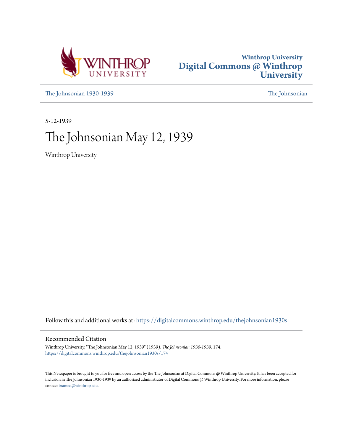



[The Johnsonian 1930-1939](https://digitalcommons.winthrop.edu/thejohnsonian1930s?utm_source=digitalcommons.winthrop.edu%2Fthejohnsonian1930s%2F174&utm_medium=PDF&utm_campaign=PDFCoverPages) [The Johnsonian](https://digitalcommons.winthrop.edu/thejohnsonian_newspaper?utm_source=digitalcommons.winthrop.edu%2Fthejohnsonian1930s%2F174&utm_medium=PDF&utm_campaign=PDFCoverPages)

5-12-1939

# The Johnsonian May 12, 1939

Winthrop University

Follow this and additional works at: [https://digitalcommons.winthrop.edu/thejohnsonian1930s](https://digitalcommons.winthrop.edu/thejohnsonian1930s?utm_source=digitalcommons.winthrop.edu%2Fthejohnsonian1930s%2F174&utm_medium=PDF&utm_campaign=PDFCoverPages)

#### Recommended Citation

Winthrop University, "The Johnsonian May 12, 1939" (1939). *The Johnsonian 1930-1939*. 174. [https://digitalcommons.winthrop.edu/thejohnsonian1930s/174](https://digitalcommons.winthrop.edu/thejohnsonian1930s/174?utm_source=digitalcommons.winthrop.edu%2Fthejohnsonian1930s%2F174&utm_medium=PDF&utm_campaign=PDFCoverPages)

This Newspaper is brought to you for free and open access by the The Johnsonian at Digital Commons @ Winthrop University. It has been accepted for inclusion in The Johnsonian 1930-1939 by an authorized administrator of Digital Commons @ Winthrop University. For more information, please contact [bramed@winthrop.edu](mailto:bramed@winthrop.edu).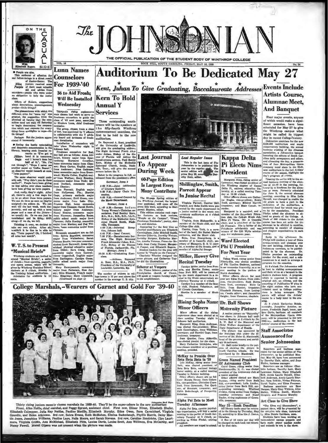

ROCK HILL, SOUTH CAROLINA, FRIDAY, MAY 12, 1939

#### **Auditorium To Be Dedicated May 27 Lunn Names Counselors** For 1939-'40

# Kent, Juhan To Give Graduating, Baccalaureate Addresses Events Include

# **Annual Y**

 $VOL$ <sub>36</sub>

le are nice.<br>entered of affection for

tharat of affection for<br>being in a direct result<br>of Junior-Senior. The<br>juniors received some<br>of their most valuable<br>and and africe from<br>people who were under<br>people who were under<br>lon to help the junior

of flowers,

decorations, en<br>-little things?

chas. Convert and the spin since the spin since the spin since the spin since the spin since the spin since the spin since the spin since the spin since the spin since the spin since the spin since the spin since the spin

ners will be the speakers at erners will be the speakers at<br>the fifty-fourth Winthrop<br>commencement exercises, the<br>first to be held in the new auditorium.

nual to the property of the property of the property of the property of the property of the property of the property of the state and the state of the state of the state of the state of the state of the state of the state

**During Week** 

4:00 P.M.-Jolnt Celebration<br>of Literary Societies.<br>6:30 P.M.--Daisy Chain Pro

SUNDAY, JUNE 4

Sturmar, J9928 4<br>
1.00 A.M.—Sermon before control of the Corner Women's Christian and<br>
socialized, paul Bently Kern, Books, Books, Books, Books, Books, Books, Schall<br>
1.00 Control Bentle, Names (1993), A.M., Pennesses<br>
1.

**Last Journal** 

**60-Page Edition** 

**Is Largest Ever:** 

**Many Contribute** 

**To Appear** 

Last Regular Issue Letter frequent r assue<br>This is the last issue of The<br>Johannism to be published this<br>year by the regular single. The<br>senior edition will the press May 22, according to the<br>othy Hulr, editor.

Shillinglaw, Smith, **Parrott Appear** In Junior Recital

Virginla Parrott, Harriet Shil-<br>linglaw, and Reba Smith were pre-<br>sented by the music department in<br>a junior recital in the music con-<br>waden-1-<br>waden-1-

Severage successions at a concerned by the principle process member of the Music club, and the College Glie club, and the State Music club is the State Music concerned to the State Music concerned to the State of A Cappell

**Rising Sophs Name Dr. Ball Shows** 

#### **Minor Officers**

**Minor Officers** af the rising Matternity Picture sophenore das were detected at a mean point respectively. The subsequence on Stateminy and the Jacobian and Jacobian Table Jacobian Indian Jacobian Jacobian Jacobian Jacob

meeting, presided. Beetle Cover is a control of McKay, rising senior from Eq. (a) the latter and the Beetle Reader of Disk Beetle Reader resident of Beetle Beetle Reader (b) and the beatle and the control of Tuesday is Sch

Alpha Pai Zata to Mast

Alphn Fil Zeta to integral to the same and the control of the Show Theorem and the Show The Show The Show and the Show of Show The Show The Show The Show The Show The Show The Show The Show The Show The Show The Control o

# **Artists Course** Alumnae Meet. **And Banquet**

 $\frac{1}{2}$ 

Four major events, anyone<br>of which would make a signi-<br>ficant occasion. have been Francisco Control (and the Michi would make a significant to the Winthy control and the Winter and the Winter of the Winter and the Winter of the Michigan and the Michigan significantly a state of the Allel its biggest du icant occasion, have been<br>cheduled for May 27 to rive

course in a body later in the eventually. Josephine Antoine, something. The property of the property property of the property of the Metropolitan operator of the Metropolitan Opera constrained 3500-v-v-, and the new prope

Staff Associates Announced for

**Senior Johnsonian** 



36 to Aid Frosh: **Kern To Hold** Will Be Installed Wednesdav **Services** Three outstanding south

SATURDAY, JUNE 3

cession.<br>8:00 P.M.-Annual Concert by<br>the Music Department.

The do-pape Spring edition of the Second Party of the Western Control of the Party and School and School and the press this week, according to Mark and the School and the This edition contains and region of The Campus", "P Freshman Notebooks", noetry, ste

# Ethis paint, the and School Spin-Propie on the Campus", "Propies and Calcular Spin-Propies and federal Campus ( $\mu_{\rm{max}}$ , and federal Campus ( $\mu_{\rm{max}}$ ) is a considered by the Memorial Reception ( $\mu_{\rm{max}}$ ) is a consid

College Marshals,-Wearers of Garnet and Gold For '39-40

College Give debt. Sometics, and the Principle of the latter of the district, it is mem-<br>
The State Matter of the Gill Wylie scholar and chapter organizations in each<br>
term of the State Matter of the Gill Wylie scholar. S

**Maternity Pieture** 

ngith ge<br>Heferian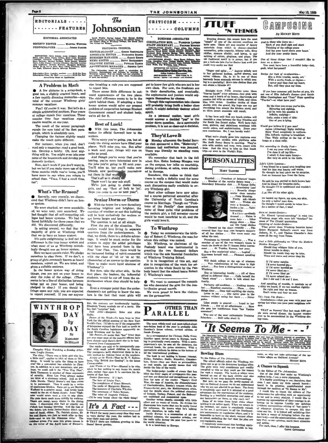

#### **EDITORIAL ASSOCIATES**

SOCIETY EDITOR MANTA WORKS 

RETRISTERS, Insty Adama, Assa Arbhurt, Marmett<br>Retre, Attes University Constants (Constants Constants)<br>Crowskes, Pittaketh University, Elizabeth Cassingham, Theoretics, Pittaketh University, Elizabeth Cassing<br>Start Gally N

#### **A Problem in Math**

A few pictures in a scrap-book, a<br>od tan, a slightly cracked heart, and a few tapidly dimming memories aum or vesstlone

Fun? Of course it was. But let's do a simple arithmetical problem. Four years<br>at college equals four vacations. Three<br>nonths time four vacations equals twelve months, or one year.

The result of the second paragraph cousts the sum total of the first paragraph, which is absolutely zero,<br>Traph, which is absolutely zero,<br>Changing the factors slightly would

make the result quite different. For instance, when you read, don't

ror instance, when you read, don't<br>read only a magazine; read a good book.<br>too. Develop a hobby. Oh, most any-<br>thing will do. You might even take over some of the housework and develop your<br>domestic instinct.

Now, don't work if you don't want to bet if you make more use of the three months while you're home, you'll have more to say when you return to<br>school than, "Yean, I had a swell time.  $tan<sup>11</sup>$ 

#### What's The Reason?

Recently, very recently, we discovered that Winthrop didn't have an honor system

We were shocked, we were scandaliz-We were shocked, we were reandalized.<br>
ed. we were very, very surprised. We<br>
had thought that all self-respecting colleges had honor systems. We had been<br>lieved faithfully for three years that we<br>  $ddd$ . We discovered diff

In asking around, we find that the<br>asjority of girls at Winthrop think that we do have an honor system.

It's ouite enjightening to find out the difference in the true honor system and<br>what mest of us at Winthrop mistakingly thought seas an honor system.<br>Here we have certain rules. We pledge

ourselves to obey them. If we don't, a burnive to be the members. It we don't, a<br>group of girls commonly known as board<br>members, report us. We are tried, and<br>given a suitable sentence.

In the honor system way of doing the the research put on your honor to<br>obey the rules of the college. (There<br>seems to be a line of distinction between being put an your honor, and being<br>pledged to obey.) If you should infringe upon any rule, you are expected<br>to report yourself. If you see anyone



Thoughts While Watching a Synday After-

The<br>sugarks Whate Waterlabey a Sweday Affernoon Tampatta Whate Water and Sweday Affernoon The ditty, "There was a little grid who has<br>a little centri, applies to tell of these at  $5\%$ <br>in this centre, the ditty of the sec

Johnsonian Jacood Workly Daring School Your Enough Hollany<br>Portons, During the Heynier Sension the Official Organs of<br>the Student Redy of Wiethren Calines, The Company

 $\pi$ 

#### EDITORIAL COUNCIL

 $\overline{\phantom{a}}$ The Johnsenha wants to mark a reputation for accuracy, thereuphone, and fairmen in covering the Winters ranges. Will you identify the approximate the couple of the contract of the contract of the contract of the lines in t

else breaking a rule you are supposed to report him.

to report him.<br>There seems little difference in out-<br>ward appearances of the two plans.<br>The chief difference seems to be in the<br>spirit behind them. If adepting a true<br>honor system would solve our present<br>problem of coopera

#### **Best of Luck!**

With this issue, The Johnsonian<br>makes its official farmyell how to the

We're sorry you're waing, yes, but al. ready the rising seniors have filled your<br>places. We'll miss you, too. But after a week next year, things will run on mile se nenal And though you're sorry that you're

And the policy of more interested now in<br>the jobs you're going to fill next year.<br>You'll miss us, but you'll make new friends, new positions for yourselves

There won't be any nob stuff.<br>We're just going to shake hands,<br>grin, and say "Best of luck to 'ya'. Hope you come to see us next year'

#### **Senior Dorm or Dorm**

With the hopes for a new dormitory<br>oming brighter and brighter, the<br>stion of whether or not this building will be kept exclusively for sectors or n be kept exculaively for seniors<br>Clooms larger and larger.<br>The question is not at all simple.  $\frac{1}{2}$ 

First the pro of the situation. The<br>writers would love living in neparate<br>quarters from the underelassmen. In<br>that, we think, there is a definite advantage. It would be much easier for the seniors to enjoy the added privileges sensions to endow the added privileges<br>that have been granted them in the Four Year Plan. Too, there would be<br>Four Year Plan. Too, there would be<br>with the class of sign of spirit connected<br>(Somewhat of an anawer to the qu How to make more loval alumnae of Winthrop".)

numbp ...<br>But then, take the other side. In the But there, take the other side, in the<br>first place, the leaders, the influential<br>students, would be cut off from the un-<br>derclassmen whom they should be help $imr$ 

rag.<br>Even a stronger point than the under-<br>classmen's not getting to know the senlors is the fact that most girls will

But, the contents are intellectually healthy.<br>Elizabeth Young reminds me of a party. She<br>has that "extprise" book.<br>Falk Alike-Margaret Brier and Alice

Figure 2018 11 and 2018 11 and 2018 11 and 2018 11 and 2018 12 and 2018 12 and 2018 12 and 2018 12 and 2018 12 and 2018 12 and 2018 12 and 2018 12 and 2018 12 and 2018 12 and 2018 12 and 2018 12 and 2018 12 and 2018 12 an

went from Comme ≕

Connected from Commentator, the unexpectedly popular with renal school children in Europe, The youngeters have discussed to be a safe much<br>in the popular connected in the tensor of the school for much<br>in the best of the t

Commentator. <br> of the Westerland Are Country", in the latest  $\mathcal{A}$ <br> of the Westerland Are the Westerland by the whole when he has not<br>the latest hand open it to convince his lies of that fact. <br> convenient of the first

rs of that inct.<br>more Summary: If I had:<br>The hair of Louise Fant.

The barr of Louise Fant<br>, The complexion of Grace Stewart, The sumplex of Margarett Blauton, The sumerous of Charlotte Wholels, The sumplex<br>, The summers of Charlotte Wholels, The summers of Holen Bryant,<br>, The very happy

It's A Fact ---THAT for many years every time they went to very start the year, the section had to

mar their says and gowns. One semant and to mar their says and gowns.

summarizes uses on the year is yiedealog of<br>an Granker's latent volume, a relation of the correspondent for Chienge Disip News, Granker's latent volume<br>and Canaday's are a correspondent for Chienge Disip News, but the dis

**TTIFF** 'N THINGS

THE JOHNSONIAN

**CRIPTOIRN** 

....... COLUMNS

**NUCLES** ASSAULTED

 $\begin{minipage}{0.9\textwidth} \begin{tabular}{l|c|c|c|c} \multicolumn{1}{c}{\textbf{NMSINERS AHSOCAATES}} & \multicolumn{1}{c}{\textbf{MMSINERS AHSOCAATES}} & \multicolumn{1}{c}{\textbf{MMSIN} & \textbf{MMSIN} & \textbf{MMSIN} \\ \multicolumn{1}{c}{\textbf{STAP REORATION EME}} & \multicolumn{1}{c}{\textbf{STAR} & \textbf{MMSIN} & \textbf{MMSIN} \\ \multicolumn{1}{c}{\textbf{STAP REOR} & \textbf{MMSP} & \textbf{MMSP} & \textbf{MMSP} &$ 

.<br>Internacional por matiemal aproximano av<br>Notinanal Rahmodialme Carolina, ima

get to know few girls who are not in her<br>own class. For now, the freshmen are

own class. For now, the freehmen are<br>in their dormitories, and eventually, the sophomores and juniors would sex-<br>regate the<br>measured by classes regate the regimentation is to classes<br>will probably bring forth a being contr

apirit.<br>As a personal matter, most girls<br>would answer a decided "yes" to the<br>endor dorm question. As a community<br>problem, it is not so clear-cut a decision.

somehow, this makes us think that<br>there is really a definite need for some<br>course on the campus that would make<br>such discussions easily available to ev-

most other courses anve now another<br>the University of North Carolina's<br>course on Marriage. Though our "Prob-

lonse of the Engelish class exchanges

would be most beneficial to all, and the<br>girls would love it.

Today we commemorate the birth-<br>ay of Robert C. Winthrop, the man for

cay or somer to. when the cap was named.<br>Mr. Winthrop, as cheirman of the<br>Peabody board was instrumental in<br>granting the two thousand dollars

which was the anis financial foundation

of Winthrop Training School.<br>It is in recognition of this act, and<br>also in recognition of the work for ed-<br>ucation in the whole South by the Paa-<br>body board that the school bears Robert

te who decorated the gym for the Jun-<br>ior-Senior grand march.

PARALLEL

The mest widely-read and most-tailerd-abor<br>n-firtion beak of the year is probably John sather's latest volume, revised

We were proud to have the visitors

**OTHER THAN** 

We want to commend the commit-

To Winthrop

of Winthrop Training School

C. Winthrop's name

ann th

D

a or the ramily class embraces<br>a of these quite vital problems of<br>modern girl, a full semester course

don-

ery Winthrop girl.<br>Most other colleges have now as

They'd Love It Anovement of the Social Service and the Social Service club appeared a film, "Maternity".<br>Johnson hall auditorium was jammed.<br>There was literally no standing room

mal Rent

 $\overline{\phantom{a}}$ 

 $1 - 16$ 

available.

 $\frac{1}{2}$ 

the m

r. Pierram Varn.<br>/ENTHING STAFF: Mary Hares Callery, Rent Jerry State and State Books, Mary Echerine<br>Mary Hary Lane, Meeders Lean, Adalaine Thomson,

re Representation<br>Now York, N. Y.

Evening dreams this season have the most "smaph" of any of the current creations we assume that the "same are a matterials from which to choose-starched moussiles, pein creation, this way, take the choice of the choice of n a iong-mor ruto Jur. or-<br>uld very ensliy see that

could very easily see that<br>
"Suppr and spless ..." depicts miliady now in their gathered bodies<br>
... puffed alsews, and the best ribbon. Oh, to be in one of the<br>
Newtor Hibbon. Oh, to be in one of these have help in<br>
have<br>

an ababe a thimbie at 1<br>
Struight from Fifth Avenue come these<br>
Strume fatale" coine reference—bud pink with<br>
Femme fatale" coine reference—bud pink with<br>
nease and a tourh of cy lenser, chartrence and<br>
nease and a tourh o

an ultra awart ensemble will result,<br>
It has been and that our beach clothes will<br>
vessurable a result behavior the Gay Nineites and the South Son Island styles. We'll have full-<br>
the South Son Island styles. We'll have f

own conclusions. Me, I can hardly want!<br>What we've simply gone into rapitures over any those new samples with platform soles<br>are the only may Besty is sporting. They've state of the book Nancy Besty is sporting. They've s



 $\begin{minipage}{0.9\textwidth} \begin{tabular}{l} \textbf{Marmhal}\ .\ .\ .\ \textbf{Preovent of Debaters' league}\\ .\ \textbf{Hamber of the varying database team .\ .\ } \\ \textbf{even} \\ \textbf{even} \\ \textbf{even} \\ \textbf{even} \\ \textbf{even} \\ \textbf{even} \\ \textbf{even} \\ \textbf{even} \\ \textbf{even} \\ \textbf{even} \\ \textbf{even} \\ \textbf{even} \\ \textbf{even} \\ \textbf{even} \\ \textbf{even} \\ \textbf{even} \\ \textbf{even} \\ \textbf{even} \\ \textbf{even} \\ \textbf{even} \\ \textbf{even} \\ \$ 

hair . . . Wishes ahe<br>were a brunette . . .<br>Smiles a lot . . . Talks

Smiles a lot ... Talks<br>
increases like a lot ... Talks the randomly described ... Higher that ... Like<br>
and the property above ... Denote the close recently ... The<br>
cleaned up the close recently ... The reduce is the clos  $\sim$ ed all has als  $-$  107

sing the rest.<br>Prominent in forecasic activities . . . Was a<br>writter of one of the two women's teams to<br>such the finals at the F1 Kappa Delta tourna-<br>such the finals at the F1 Kappa Delta town.<br>Has a fine analytical mind . т  $W_{\text{max}}$ 

vexve.<br>Will finish college at the age of nineteen<br>... Will finish college at the age of nineteen<br>school...Has been a distinguished student at<br>Winshrop.

Whatkrop.<br>Has an interesting family ... All of them<br>gifted in different lines ... Calls herself the<br>"black sheep" ... Loves to talk about he  $f$ a sa Ilw

family.<br>Perfectly self-confident . . . Nothing dam<br>ber . . . Excellent executive . . . Plans . . . G<br>things dene . . . Does well anything she star<br>Loves to est . . . One never goes ta t<br>canteen without seeing her there . , unst<br>Get urts<br>+ h

gassa.<br>Ilikas peeple in general . . Loyal to her<br>friends . . . Not at all affectionate . . . Saya<br>shoestars".<br>ancestars".

ncestors".<br>Was one of the most enthusiastic Training<br>choolers . . . Still talks about it.

i bournaments on trues and the chart, warped alleys<br>chool, excluding the fact that the plus are<br>chool, excluding the fact that the plus are<br>tremalation ones.<br>I completely understand that bowling equip-<br>at is expensive and

GAMPUSING

**May 19 1006** 

**By Microy Mayo** 

And to those who leave us-<br>Each of you shall sigh and start<br>Thinking of the college years<br>And lay your hand shows your heart<br>And dry your pretty tears.

One of those things that I wouldn't tiles to er on a date--<br>You must have<br>-h. what harpe date---<br>si have leen a beautiful habe----het. bee

Recipe for leck of co-education-<br>Mix a little trouble, number<br>With a movie, frock, or rhyme----<br>I never said they feed my heart. I never said they

If you hear someone yell foo-loo at you, it's<br>not one of Elia Jefford's dances-just Sarah<br>Elice Cunniegham and "Tour" Hope speaking<br>"Foo-loo"--or what have you?

By the time you away you.<br>By the time you wear you're his,<br>Shivering and sighing,<br>And he vows his passion is<br>Leady, make a note of this:<br>One of you is lying.

one os you as grang.<br>
Marmes (ditterburg) Rigby waltzin<br>
Agnes (ditterburg) Rigby waltzin<br>
Retty Wood completely in unifor<br>
Theo Wells yelling at the top<br>
my at a class raily. anco Wells<br>mga at a cl-

Not according to Emily Past. ccording to Emily Post-<br>I est my peas with honey,<br>I've done it all my life--<br>I admit it does taste funny-<br>But they do stick to the kni  $\overline{ }$ 

Lite's Little Leasons

 $i/e's$  Little Lencons—<br>I was kissed by a rascal with laughing eyes<br>And his kiss was bearty and warm.<br>He thought he had taken me by surprise,<br>Just an innocent lass from the farm.

Ne said he was partial to dark brown hair<br>And he kissed my brunette curls;<br>He thought I'd be spellbound and wouldn't

care, care, all his other girls.

He lauded my figure, my syss, my skin,<br>As only a ladies' nam dees,<br>He thought I would surely be taken in-<br>As a matter of fact. I was?

Read of Junior Banks

Seen at Junior-Senior-<br>Dr. Kinned "grand-marching" it with two<br>Winthrop stags who were left "dateless" be-<br>cause of The Citadel quarantina.

cause of The Citadel quarantina.<br>Spateing of Juntor-Scrato-<br>What power these Winthrop beauties have!<br>Queen Margaret Ballard's escort was from<br>Auburn, N. Y., and Thelma Chandler's date<br>came all the way from Texas.

me ma are way ivers a measurement of the *Mondaysian*<br>identifier *Mellanger<sup>11</sup>*<br>identifier *Meanger<sup>11</sup>*<br>Should they whisper false of you,<br>Never trouble to deny:<br>Should the words they say be true,<br>Weep and storm and swea

If I'd never mone wear to<br>
If I'd never knowed yn<br>
If I'd never knowed yn<br>
If I'd never liked yn<br>
I'd never liked yn<br>
I'd never liked yn<br>
I'd never liked<br>
Di Wer missed yn<br>
But I did and I do and I doen.

And speaking of trouble, it reminds us<br>ditty we haved, if we can recollect rightly<br>De right and fear no woman,<br>Don't write and fear no mann,

This from The Glass

sn:a from The State-<br>Nonchalance-what you wear with your new<br>spring hat when you pass your naishborn refer

THAT on Parents' Day last week 2196 peo-<br>ple were nerved dinner, the largest number<br>ever to be accomodated in the Winthrop din-

over, no why not take advantage of the up-<br>date alleys on Oakland Avenue? Mickey Moon

A Chance to Squeek

A Chance to Squeak  $\label{eq:20}$  To the Editor of The Johnsonian<br>11 Gas Core of the Columbia (The Columbia (The Columbia (The Schedules<br>of the test control of the test control of the statistic behavior of the Mechler Lands (

'It Seems To Me - - -KLERK STEL

# Bowling Blues<br>  $\,$  To which ref  $I$  the Schwessies . To the Schwessies of<br>this calculated the Windings starts and the Schwessies of the grid over<br>the very coverage consider the grid over the grid over the property consid **Rowling Diver**

이다~P<br>- 1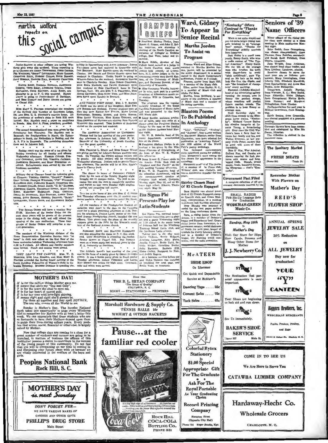



Sumot-Seniors at other colleges are taking Winton girls away this weekend. Those expecting to the Clemens are Anons Thowsenors, Doam Gaussen, Characters, 2001, Carry and Caussian Characters, uman linuwaranga, *dunan* umumisi.<br>Oky<sup>a</sup> Littlijohn, Mary Garn<del>er</del>.<br>Hargiet Culler, Ruth Bengon. TING RILEY, HARM

 $\begin{tabular}{l|c|c|c|c} \multicolumn{2}{c}{\multicolumn{2}{c}{\multicolumn{2}{c}{\multicolumn{2}{c}{\multicolumn{2}{c}{\multicolumn{2}{c}{\multicolumn{2}{c}{\multicolumn{2}{c}{\multicolumn{2}{c}{\textbf{N.A.A. MOM C. F.} \end{tabular}}} \hline \multicolumn{2}{c}{\multicolumn{2}{c}{\multicolumn{2}{c}{\textbf{N.A.A. MOM C.} \end{tabular}}} \hline \textbf{C} \multicolumn{2}{c}{\multicolumn{2}{c}{\textbf{N.A. MOM C.} \end{tabular}} \hline \textbf{C$ 

e compared the members of the Coulomb Miss Many E. PRAYSES entertained the members in Contract the Country bone. All or presidents of women's clubs in Rock Mill were URL AND music, G. G. G. Washington and the presidents of women's clubs in Rock Hill were<br>invited. Mrs. Rawlain reed a paper on condition in Russia. Mrs. Raw A. Funz, president, president.

o<br>The annual denominational tens were given by the<br>presidents last Teuroday. The Baptists rest in<br>summerof, the Presbyterians in North, tile Spisoc-<br>hims in Bouth, the Nethodists in Roddey, and the<br>. R. P.'s in Breazeale. A. R. P.'s in Bro mot in Jehanon hall.  $\cdot$   $\cdot$   $\cdot$ 

Nodday court was the scene of a tea given by Nodday downtway for all feeding and officers with Wednesday afternoon. Hassars: Cutage, Eva-Ava Wednesday afternoon. Hassars: Cutage, Eva-Ava Mark House and Ava Mark House elect ۰.

THE SEXUAR ORDER will have a reunion May part direct process of the Sender Order for the Sender of the present of the present of the original control of the present of the present of the present of the present of the pres

is an<br>ambers of the Winthrop division of the measurable and the Demanstration Extreme<br>field Extreme with the presentation Extreme the secondary building We<br>dust the secondary divided in the first floor of the secondary bu |]ome<br>home"

<sup>9</sup><br>
THEY LEAT'S THE CAMPUS. MRs. W. D.<br>MASCINIB, MESS LILA RUSSELL, and Miss MANY E.<br>FaATSER attended the Spring board meeting of the<br>South Caroline Federation of Women's clubs in<br>Sumbia Saturday. Mitkness DURIEAN is spen

 $\frac{M}{T}$ 



AND THESE VISIT HERE. Mus. J. T. RINDER of Battle was the guest of ber daughter, Miss Evr. Rindom at Little Reserved. May day were RALMER . Former students seen at Carolina Pederation of Music clubs<br>
RATCHTON, ROBERTA MARSH, and GEYA KENTER. Hall Music clubs<br>
RATCHTON, ROBERTA MARSH, and GEYA KENTER. Hill Music clubs<br>
Mins Satur WATKYS,

was the guest speaker.

MER. FRANCES L. SPAIN and MISS SARAH WELL num, runsters L. brant and alles absent and the nature are giving parties for Library Science students next<br>week. On Tuesday, the library science majors will be entered. All other senders will be entertained<br>Wednesday afte afternoon. The pa<br>in Cherry Park.  $\overline{\phantom{a}}$  $\mathbf{z}$ 

The dianer in hence of PRESIDENT PHELPS property in the test of the factory Mepolay might property in the formula base crains to an analytic property in an analytic property of the metal for an and boyish as they were Mon

To a ten at the home of MR. AND MRs. C C. STEER<br>ist Thursday afternoon went the 18 student comerce teachers, who are in training under Mr. Steed.

associates and the members of the Presbyterian Student as<br>a condition with the members of the Presbyterian Student as<br>exceeding the relationship of the state of the function of the state<br>in the relation of the state of th

Namaam<br/>r Berck and Braxcus Hassmanov are also attending the dance at<br/> $\Gamma$ . the week-Sevel and Lucy McArruus is attending the also<br/>level and the week-Sevel and the week-sevel at the sevel and till, by the<br/>le

The Athletic board's last meeting of the year, was in the form of a party given by GRACE EVINGE.<br>The Athletic board's last meeting of the year, was in the form of a party given by GRACE EVINGE.<br>These are also party of the



Program

Front Towns and Siller Gidney,<br>
Frances Ward and Ellers Gidney,<br>
France Ward and Ellers Gidney,<br>
dan, junior, will be presented by<br>
rectal in the Minde Conservator<br>
rectal in a senior from Rock Hill,<br>
Eller, senior from Ro

 $\begin{tabular}{p{0.875\textwidth}} \hline \textbf{0.3} & \textbf{Constance } \textbf{Verfla, instruse-} \\ \hline for a view, took part in a special case of Elizabeth and made over static. \\ \hline \textbf{C} & \textbf{relator} \\ \hline \textbf{T} & \textbf{C} & \textbf{C} \\ \hline \textbf{T} & \textbf{C} & \textbf{C} \\ \hline \textbf{D} & \textbf{C} & \textbf{C} \\ \hline \textbf{D} & \textbf{C} & \textbf{C} \\ \hline \textbf{D} & \textbf{C} & \textbf{C} \\ \hline \textbf{C} & \text$ 

**McATEER** 

SHOE SHOP

Get Quick and Dependable

Service at McAteer's

Dancing Taps ..... 25c

Comput Soles 75c

Tack Soles ........ 65c

 $10<sup>1</sup>$ 

**Colorful Rytex Stationery** 

 $$1.00 \text{ }^{\text{In}}$$ 

Appropriate Cift

For The Graduate

Ask For The

**Royal Portable** As Your Graduating

**Record Printing** 

**Company** 

Hampton Street<br>(Opposite City Hall)

Phone 164 Roswr Brooks, Mar.

≔

On Then

#### **Eta Sigma Phi Presents Play for** Latin Students

Coca Cola

**ROCK HILL** 

COCA-COLA

BOTTLING CO.

PHONE 351



#### Seniors of '30 "Kentucky" Offers<br>Contrast to "Thanks<br>For Everything" Name Officers

When a not cults stund and When a not quite stupid and<br>yet not quite bright young man<br>gets involved in an "average<br>man" contest, "Thanks for<br>Everything" giddily unwinds Minor officers of the rising aes-<br>or class were elected at a class

 $P_{\text{max}}$ 

Nution of the relation of the relationship of the relationship of the collapse of the state of the state of the state of the state of the state of the state of the state of the state of the state of the state of the state next year are so serve for manent, Mary Cenningham, from<br>manent, Mary Cenningham, from<br>Liberty Hill; Elizabeth Manafeld,<br>from Spartanburg; and Anna Mae<br>Baskin, from Bishonville.

Baskin, from Bishopville. Farrior, Transporter, Transporter, Transporter, Transporter, Transporter, Transporter, Transporter, Transporter, Transporter, Transporter, Transporter, Transporter, Transporter, Transporter, Trans

fildres newsleep, from Greenville<br>Edith Gentry, from Greenville<br>Annual newsleent at a previo Edith (<br>was electe<br>meeting.

Carnegie library have home a nis and cannogued by Miss Id.<br>Incus, librarian.<br>The collection is shelwed in at



Wholesale Grocers

 $C$ *WANDOWN W.O.* 



# **Peoples National Bank** Rock Hill, S. C.

**MOTHER'S DAY** *is next Sunday* **DON'T FORGET FER-**WE HAVE VARIOUS MAKES OF CANDIES AND OTHER GIFTS PHILLIP'S DRUG STORE Main Street

## THE JOHNSONIAN